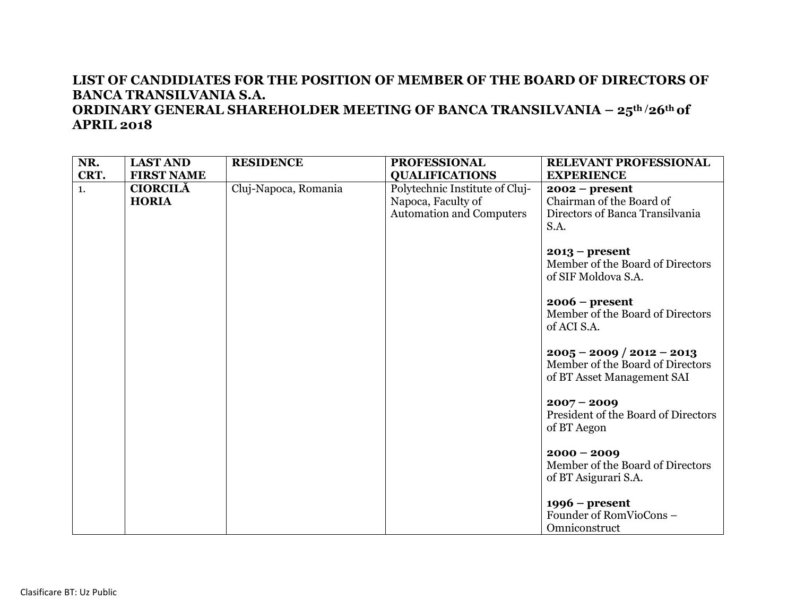| NR.<br>CRT. | <b>LAST AND</b><br><b>FIRST NAME</b> | <b>RESIDENCE</b>     | <b>PROFESSIONAL</b><br><b>QUALIFICATIONS</b>                                            | RELEVANT PROFESSIONAL<br><b>EXPERIENCE</b>                                                    |
|-------------|--------------------------------------|----------------------|-----------------------------------------------------------------------------------------|-----------------------------------------------------------------------------------------------|
| 1.          | <b>CIORCILĂ</b><br><b>HORIA</b>      | Cluj-Napoca, Romania | Polytechnic Institute of Cluj-<br>Napoca, Faculty of<br><b>Automation and Computers</b> | $2002 - present$<br>Chairman of the Board of<br>Directors of Banca Transilvania<br>S.A.       |
|             |                                      |                      |                                                                                         | $2013$ – present<br>Member of the Board of Directors<br>of SIF Moldova S.A.                   |
|             |                                      |                      |                                                                                         | $2006$ – present<br>Member of the Board of Directors<br>of ACI S.A.                           |
|             |                                      |                      |                                                                                         | $2005 - 2009 / 2012 - 2013$<br>Member of the Board of Directors<br>of BT Asset Management SAI |
|             |                                      |                      |                                                                                         | $2007 - 2009$<br>President of the Board of Directors<br>of BT Aegon                           |
|             |                                      |                      |                                                                                         | $2000 - 2009$<br>Member of the Board of Directors<br>of BT Asigurari S.A.                     |
|             |                                      |                      |                                                                                         | $1996$ – present<br>Founder of RomVioCons -<br>Omniconstruct                                  |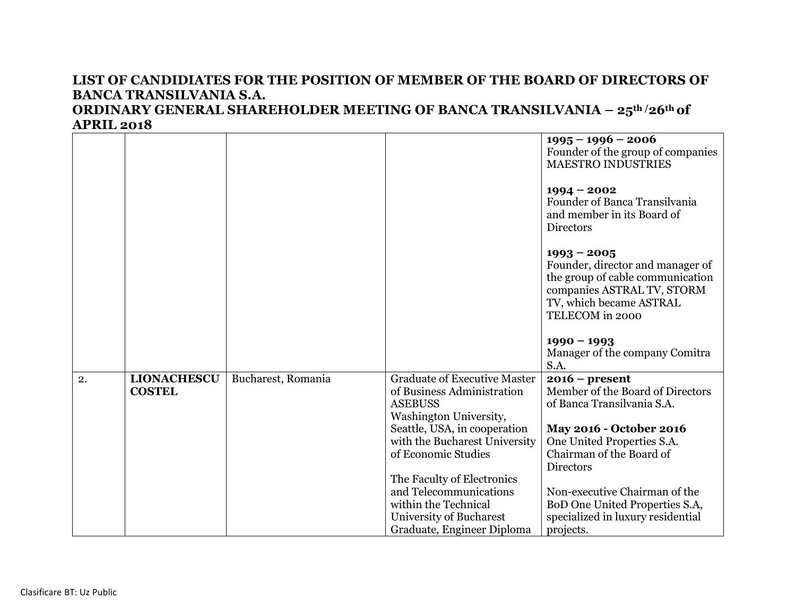|    |                                     |                    |                                                                   | $1995 - 1996 - 2006$                                                 |
|----|-------------------------------------|--------------------|-------------------------------------------------------------------|----------------------------------------------------------------------|
|    |                                     |                    |                                                                   | Founder of the group of companies<br><b>MAESTRO INDUSTRIES</b>       |
|    |                                     |                    |                                                                   |                                                                      |
|    |                                     |                    |                                                                   | $1994 - 2002$                                                        |
|    |                                     |                    |                                                                   | Founder of Banca Transilvania                                        |
|    |                                     |                    |                                                                   | and member in its Board of<br><b>Directors</b>                       |
|    |                                     |                    |                                                                   |                                                                      |
|    |                                     |                    |                                                                   | $1993 - 2005$                                                        |
|    |                                     |                    |                                                                   | Founder, director and manager of<br>the group of cable communication |
|    |                                     |                    |                                                                   | companies ASTRAL TV, STORM                                           |
|    |                                     |                    |                                                                   | TV, which became ASTRAL                                              |
|    |                                     |                    |                                                                   | TELECOM in 2000                                                      |
|    |                                     |                    |                                                                   | $1990 - 1993$                                                        |
|    |                                     |                    |                                                                   | Manager of the company Comitra                                       |
|    |                                     |                    |                                                                   | S.A.                                                                 |
| 2. | <b>LIONACHESCU</b><br><b>COSTEL</b> | Bucharest, Romania | <b>Graduate of Executive Master</b><br>of Business Administration | $2016$ – present<br>Member of the Board of Directors                 |
|    |                                     |                    | <b>ASEBUSS</b>                                                    | of Banca Transilvania S.A.                                           |
|    |                                     |                    | Washington University,                                            |                                                                      |
|    |                                     |                    | Seattle, USA, in cooperation                                      | May 2016 - October 2016                                              |
|    |                                     |                    | with the Bucharest University                                     | One United Properties S.A.                                           |
|    |                                     |                    | of Economic Studies                                               | Chairman of the Board of                                             |
|    |                                     |                    |                                                                   | <b>Directors</b>                                                     |
|    |                                     |                    | The Faculty of Electronics<br>and Telecommunications              | Non-executive Chairman of the                                        |
|    |                                     |                    | within the Technical                                              | BoD One United Properties S.A,                                       |
|    |                                     |                    | University of Bucharest                                           | specialized in luxury residential                                    |
|    |                                     |                    | Graduate, Engineer Diploma                                        | projects.                                                            |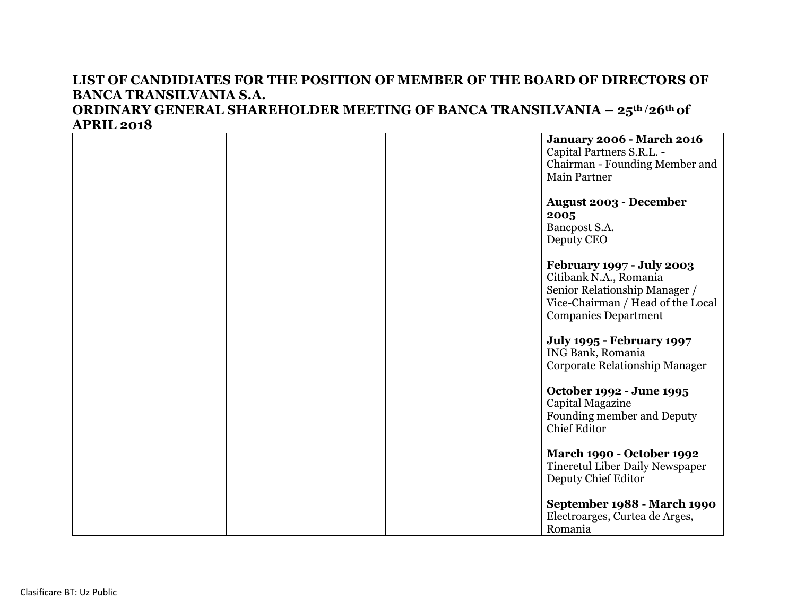|  |  | <b>January 2006 - March 2016</b><br>Capital Partners S.R.L. -<br>Chairman - Founding Member and                                                          |
|--|--|----------------------------------------------------------------------------------------------------------------------------------------------------------|
|  |  | <b>Main Partner</b>                                                                                                                                      |
|  |  | <b>August 2003 - December</b><br>2005                                                                                                                    |
|  |  | Bancpost S.A.<br>Deputy CEO                                                                                                                              |
|  |  | February 1997 - July 2003<br>Citibank N.A., Romania<br>Senior Relationship Manager /<br>Vice-Chairman / Head of the Local<br><b>Companies Department</b> |
|  |  | <b>July 1995 - February 1997</b><br>ING Bank, Romania<br>Corporate Relationship Manager                                                                  |
|  |  | October 1992 - June 1995<br>Capital Magazine<br>Founding member and Deputy<br><b>Chief Editor</b>                                                        |
|  |  | March 1990 - October 1992<br><b>Tineretul Liber Daily Newspaper</b><br>Deputy Chief Editor                                                               |
|  |  | September 1988 - March 1990<br>Electroarges, Curtea de Arges,<br>Romania                                                                                 |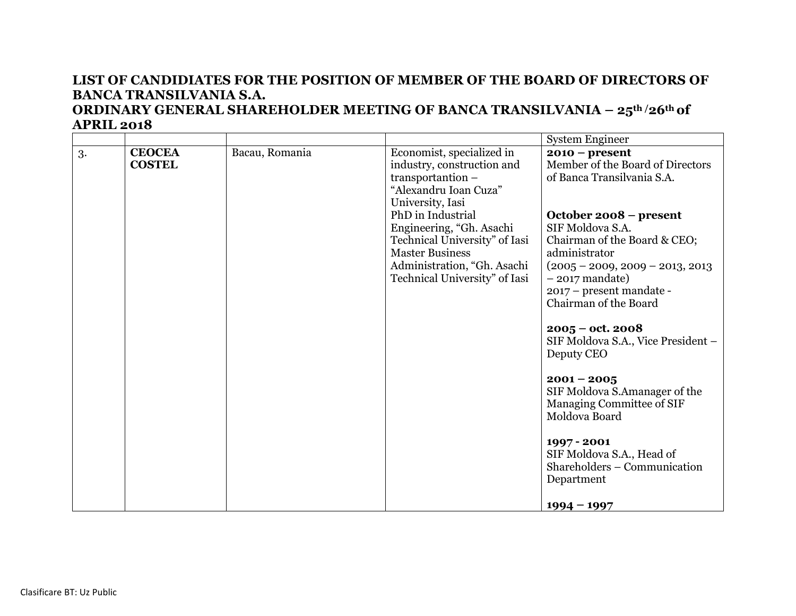|    |                                |                |                                                                                                                                                                                                                                                                                                       | <b>System Engineer</b>                                                                                                                                                                                                                                                                                                                                                                                                                                                                                                                                                     |
|----|--------------------------------|----------------|-------------------------------------------------------------------------------------------------------------------------------------------------------------------------------------------------------------------------------------------------------------------------------------------------------|----------------------------------------------------------------------------------------------------------------------------------------------------------------------------------------------------------------------------------------------------------------------------------------------------------------------------------------------------------------------------------------------------------------------------------------------------------------------------------------------------------------------------------------------------------------------------|
| 3. | <b>CEOCEA</b><br><b>COSTEL</b> | Bacau, Romania | Economist, specialized in<br>industry, construction and<br>transportantion -<br>"Alexandru Ioan Cuza"<br>University, Iasi<br>PhD in Industrial<br>Engineering, "Gh. Asachi<br>Technical University" of Iasi<br><b>Master Business</b><br>Administration, "Gh. Asachi<br>Technical University" of Iasi | $2010 - present$<br>Member of the Board of Directors<br>of Banca Transilvania S.A.<br>October 2008 – present<br>SIF Moldova S.A.<br>Chairman of the Board & CEO;<br>administrator<br>$(2005 - 2009, 2009 - 2013, 2013)$<br>$-2017$ mandate)<br>2017 – present mandate -<br>Chairman of the Board<br>$2005 - \omega t$ . 2008<br>SIF Moldova S.A., Vice President -<br>Deputy CEO<br>$2001 - 2005$<br>SIF Moldova S.Amanager of the<br>Managing Committee of SIF<br>Moldova Board<br>1997 - 2001<br>SIF Moldova S.A., Head of<br>Shareholders – Communication<br>Department |
|    |                                |                |                                                                                                                                                                                                                                                                                                       | $1994 - 1997$                                                                                                                                                                                                                                                                                                                                                                                                                                                                                                                                                              |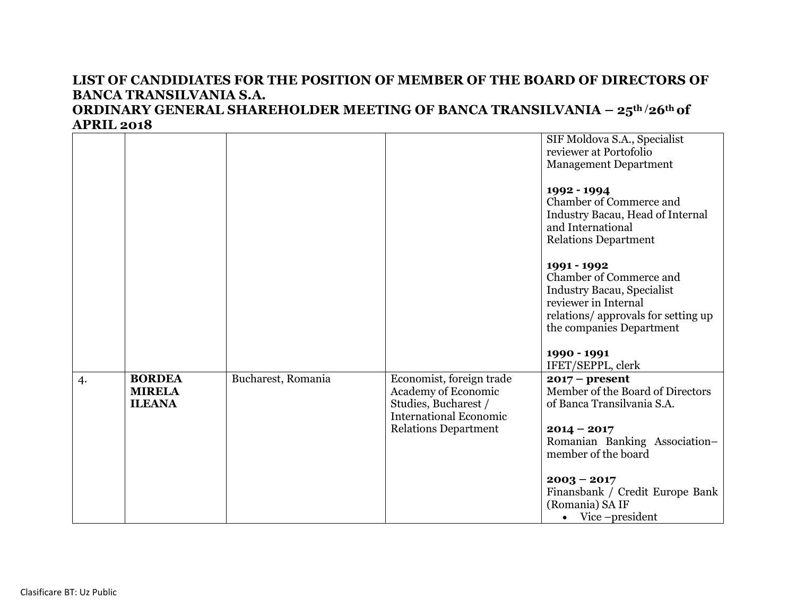#### **APRIL 2018** SIF Moldova S.A., Specialist reviewer at Portofolio Management Department **1992 - 1994** Chamber of Commerce and Industry Bacau, Head of Internal and International Relations Department **1991 - 1992** Chamber of Commerce and Industry Bacau, Specialist reviewer in Internal relations/ approvals for setting up the companies Department **1990 - 1991** IFET/SEPPL, clerk 4. **BORDEA MIRELA ILEANA** Bucharest, Romania Economist, foreign trade Academy of Economic Studies, Bucharest / International Economic Relations Department **2017 – present**  Member of the Board of Directors of Banca Transilvania S.A. **2014 – 2017** Romanian Banking Association– member of the board **2003 – 2017** Finansbank / Credit Europe Bank (Romania) SA IF Vice –president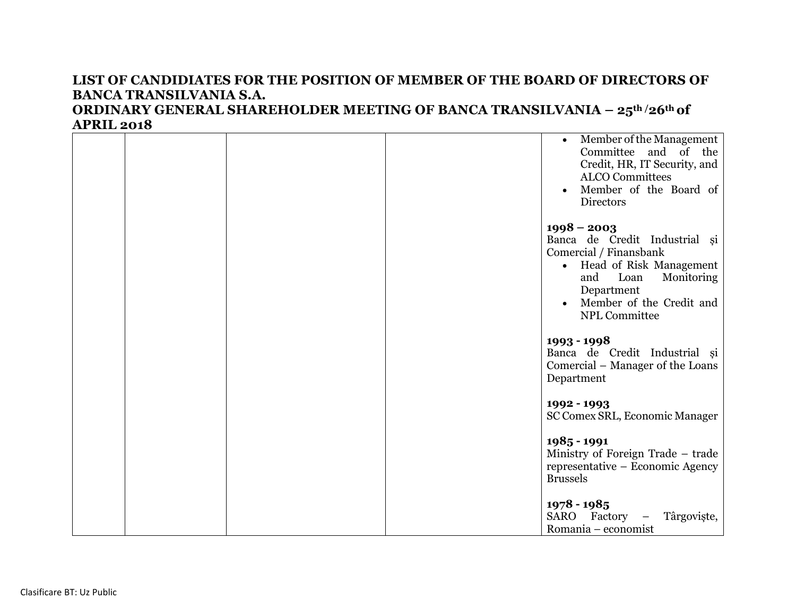|  |  | Member of the Management<br>$\bullet$<br>Committee and of the<br>Credit, HR, IT Security, and<br><b>ALCO</b> Committees<br>Member of the Board of<br><b>Directors</b>                                |
|--|--|------------------------------------------------------------------------------------------------------------------------------------------------------------------------------------------------------|
|  |  | $1998 - 2003$<br>Banca de Credit Industrial și<br>Comercial / Finansbank<br>• Head of Risk Management<br>Loan<br>and<br>Monitoring<br>Department<br>Member of the Credit and<br><b>NPL Committee</b> |
|  |  | 1993 - 1998<br>Banca de Credit Industrial și<br>Comercial – Manager of the Loans<br>Department                                                                                                       |
|  |  | 1992 - 1993<br>SC Comex SRL, Economic Manager                                                                                                                                                        |
|  |  | 1985 - 1991<br>Ministry of Foreign Trade - trade<br>representative – Economic Agency<br><b>Brussels</b>                                                                                              |
|  |  | $1978 - 1985$<br>SARO Factory<br>Târgoviște,<br>$\overline{\phantom{m}}$<br>Romania – economist                                                                                                      |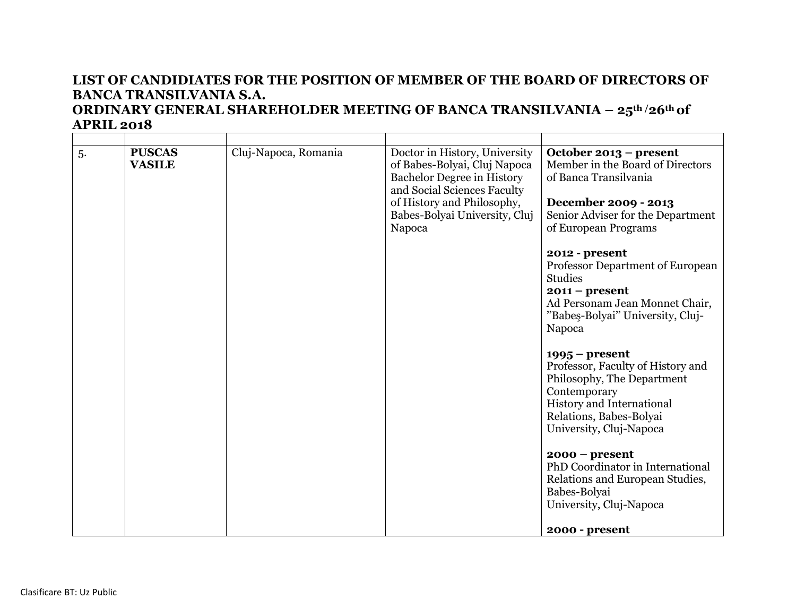| 5. | <b>PUSCAS</b><br><b>VASILE</b> | Cluj-Napoca, Romania | Doctor in History, University<br>of Babes-Bolyai, Cluj Napoca<br><b>Bachelor Degree in History</b><br>and Social Sciences Faculty<br>of History and Philosophy,<br>Babes-Bolyai University, Cluj<br>Napoca | October 2013 – present<br>Member in the Board of Directors<br>of Banca Transilvania<br>December 2009 - 2013<br>Senior Adviser for the Department<br>of European Programs               |
|----|--------------------------------|----------------------|------------------------------------------------------------------------------------------------------------------------------------------------------------------------------------------------------------|----------------------------------------------------------------------------------------------------------------------------------------------------------------------------------------|
|    |                                |                      |                                                                                                                                                                                                            | 2012 - present<br>Professor Department of European<br><b>Studies</b><br>$2011 - present$<br>Ad Personam Jean Monnet Chair,<br>"Babeş-Bolyai" University, Cluj-<br>Napoca               |
|    |                                |                      |                                                                                                                                                                                                            | $1995 - present$<br>Professor, Faculty of History and<br>Philosophy, The Department<br>Contemporary<br>History and International<br>Relations, Babes-Bolyai<br>University, Cluj-Napoca |
|    |                                |                      |                                                                                                                                                                                                            | $2000 - present$<br>PhD Coordinator in International<br>Relations and European Studies,<br>Babes-Bolyai<br>University, Cluj-Napoca<br>2000 - present                                   |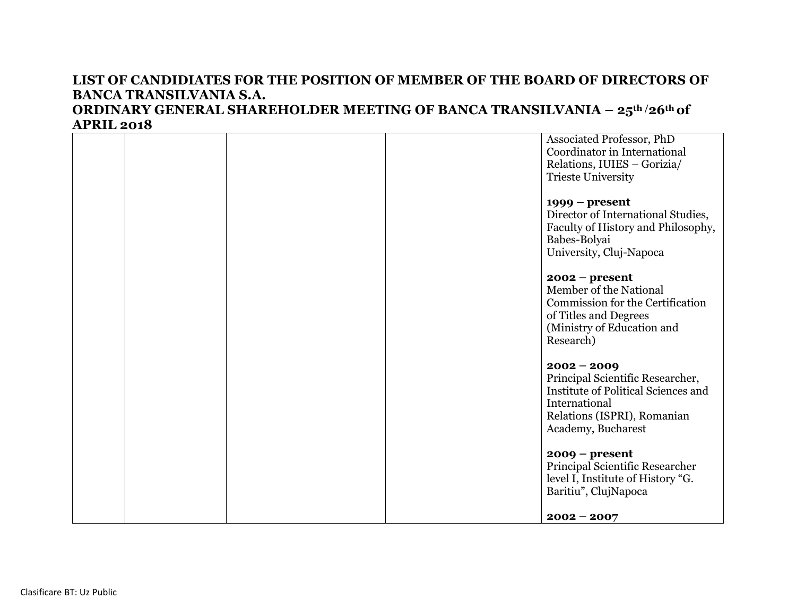|  |  | Associated Professor, PhD           |
|--|--|-------------------------------------|
|  |  | Coordinator in International        |
|  |  | Relations, IUIES - Gorizia/         |
|  |  | <b>Trieste University</b>           |
|  |  | $1999$ – present                    |
|  |  | Director of International Studies,  |
|  |  | Faculty of History and Philosophy,  |
|  |  | Babes-Bolyai                        |
|  |  | University, Cluj-Napoca             |
|  |  | $2002 - present$                    |
|  |  | Member of the National              |
|  |  | Commission for the Certification    |
|  |  | of Titles and Degrees               |
|  |  | (Ministry of Education and          |
|  |  | Research)                           |
|  |  | $2002 - 2009$                       |
|  |  | Principal Scientific Researcher,    |
|  |  | Institute of Political Sciences and |
|  |  | International                       |
|  |  | Relations (ISPRI), Romanian         |
|  |  | Academy, Bucharest                  |
|  |  | $2009$ – present                    |
|  |  | Principal Scientific Researcher     |
|  |  | level I, Institute of History "G.   |
|  |  | Baritiu", ClujNapoca                |
|  |  |                                     |
|  |  | $2002 - 2007$                       |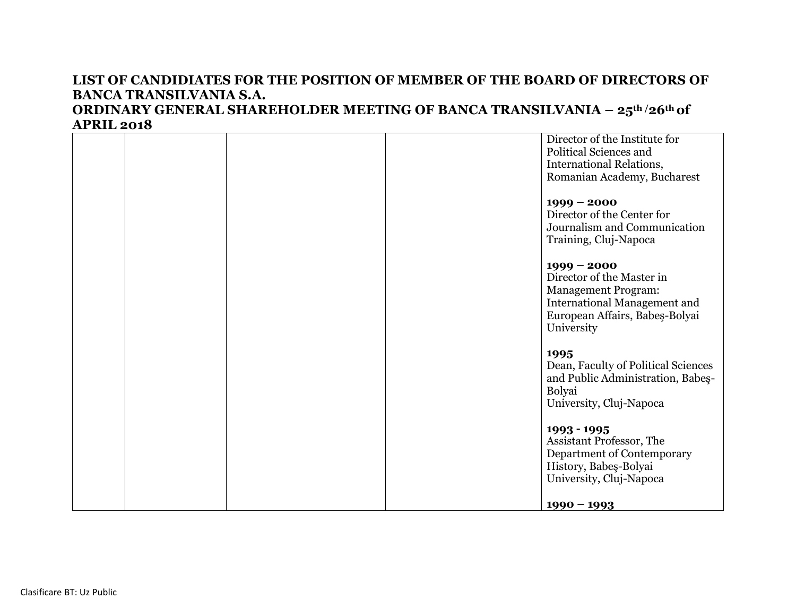#### **APRIL 2018** Director of the Institute for Political Sciences and International Relations, Romanian Academy, Bucharest **1999 – 2000** Director of the Center for Journalism and Communication Training, Cluj-Napoca **1999 – 2000** Director of the Master in Management Program: International Management and European Affairs, Babeş-Bolyai University **1995** Dean, Faculty of Political Sciences and Public Administration, Babeş-Bolyai University, Cluj-Napoca **1993 - 1995** Assistant Professor, The Department of Contemporary History, Babeş-Bolyai University, Cluj-Napoca **1990 – 1993**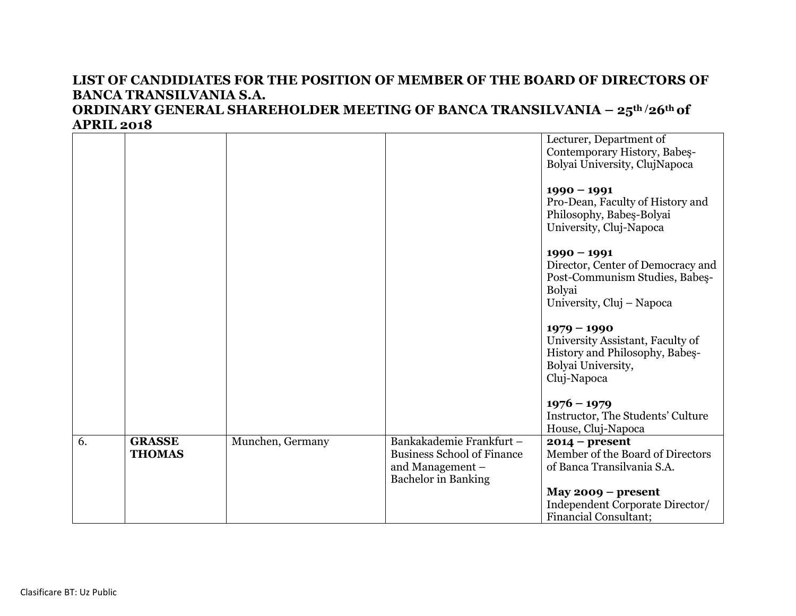#### **APRIL 2018** Lecturer, Department of Contemporary History, Babeş-Bolyai University, ClujNapoca **1990 – 1991** Pro-Dean, Faculty of History and Philosophy, Babeş-Bolyai University, Cluj-Napoca **1990 – 1991** Director, Center of Democracy and Post-Communism Studies, Babeş-Bolyai University, Cluj – Napoca **1979 – 1990** University Assistant, Faculty of History and Philosophy, Babeş-Bolyai University, Cluj-Napoca **1976 – 1979** Instructor, The Students' Culture House, Cluj-Napoca 6. **GRASSE THOMAS**  Munchen, Germany Bankakademie Frankfurt – Business School of Finance and Management – Bachelor in Banking **2014 – present**  Member of the Board of Directors of Banca Transilvania S.A. **May 2009 – present**  Independent Corporate Director/ Financial Consultant;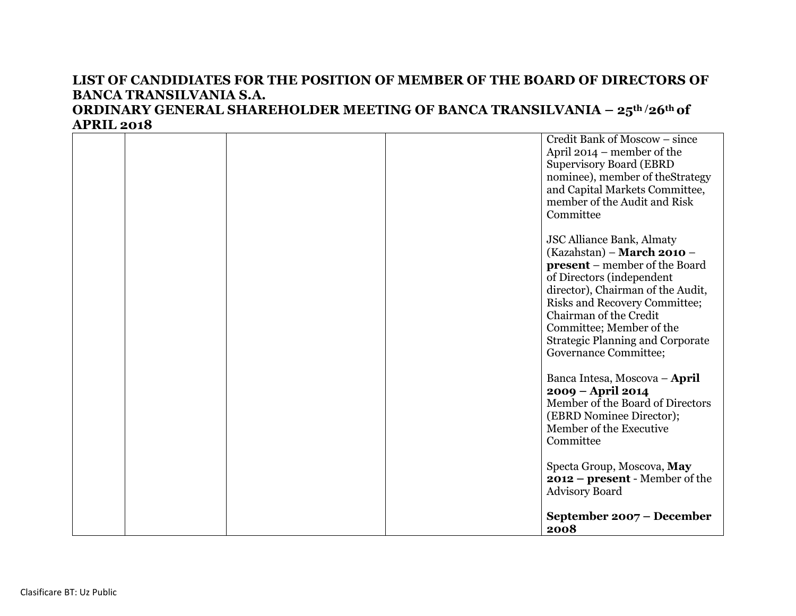|  |  | Credit Bank of Moscow – since<br>April $2014$ – member of the<br><b>Supervisory Board (EBRD</b><br>nominee), member of the Strategy<br>and Capital Markets Committee,<br>member of the Audit and Risk<br>Committee                                                                                                                         |
|--|--|--------------------------------------------------------------------------------------------------------------------------------------------------------------------------------------------------------------------------------------------------------------------------------------------------------------------------------------------|
|  |  | <b>JSC Alliance Bank, Almaty</b><br>(Kazahstan) - March 2010 -<br><b>present</b> – member of the Board<br>of Directors (independent<br>director), Chairman of the Audit,<br><b>Risks and Recovery Committee;</b><br>Chairman of the Credit<br>Committee; Member of the<br><b>Strategic Planning and Corporate</b><br>Governance Committee; |
|  |  | Banca Intesa, Moscova - April<br>2009 - April 2014<br>Member of the Board of Directors<br>(EBRD Nominee Director);<br>Member of the Executive<br>Committee                                                                                                                                                                                 |
|  |  | Specta Group, Moscova, May<br>$2012$ – present - Member of the<br><b>Advisory Board</b><br>September 2007 - December<br>2008                                                                                                                                                                                                               |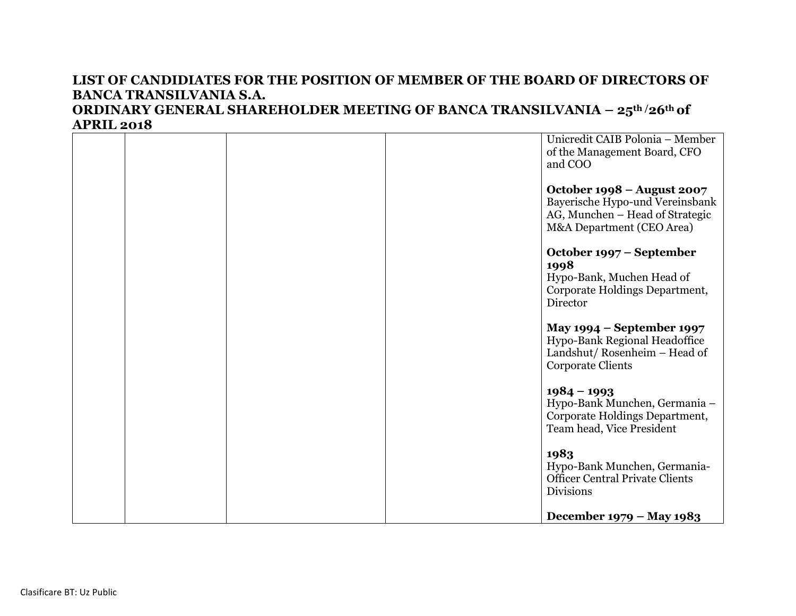|  |  | Unicredit CAIB Polonia - Member                                                                                               |
|--|--|-------------------------------------------------------------------------------------------------------------------------------|
|  |  | of the Management Board, CFO                                                                                                  |
|  |  | and COO                                                                                                                       |
|  |  | October 1998 – August 2007<br>Bayerische Hypo-und Vereinsbank<br>AG, Munchen - Head of Strategic<br>M&A Department (CEO Area) |
|  |  | October 1997 – September<br>1998<br>Hypo-Bank, Muchen Head of                                                                 |
|  |  | Corporate Holdings Department,<br>Director                                                                                    |
|  |  | May 1994 – September 1997<br>Hypo-Bank Regional Headoffice<br>Landshut/Rosenheim - Head of<br><b>Corporate Clients</b>        |
|  |  | $1984 - 1993$<br>Hypo-Bank Munchen, Germania -<br>Corporate Holdings Department,<br>Team head, Vice President                 |
|  |  | 1983<br>Hypo-Bank Munchen, Germania-<br><b>Officer Central Private Clients</b><br><b>Divisions</b>                            |
|  |  | December 1979 – May 1983                                                                                                      |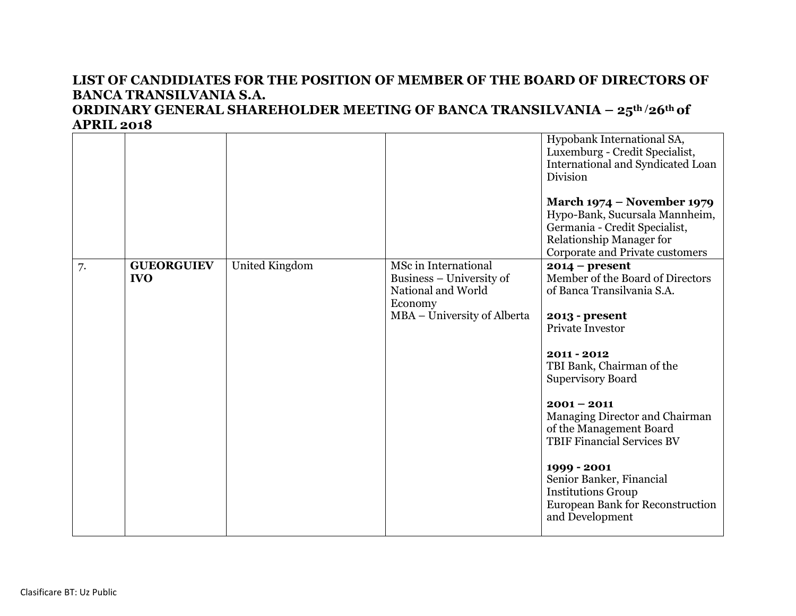|    |                                 |                |                                                                                                                  | Hypobank International SA,<br>Luxemburg - Credit Specialist,<br>International and Syndicated Loan<br>Division<br><b>March 1974 – November 1979</b><br>Hypo-Bank, Sucursala Mannheim,<br>Germania - Credit Specialist,<br><b>Relationship Manager for</b><br>Corporate and Private customers                                                                                                                                                                 |
|----|---------------------------------|----------------|------------------------------------------------------------------------------------------------------------------|-------------------------------------------------------------------------------------------------------------------------------------------------------------------------------------------------------------------------------------------------------------------------------------------------------------------------------------------------------------------------------------------------------------------------------------------------------------|
| 7. | <b>GUEORGUIEV</b><br><b>IVO</b> | United Kingdom | MSc in International<br>Business – University of<br>National and World<br>Economy<br>MBA - University of Alberta | $2014$ – present<br>Member of the Board of Directors<br>of Banca Transilvania S.A.<br>2013 - present<br><b>Private Investor</b><br>$2011 - 2012$<br>TBI Bank, Chairman of the<br><b>Supervisory Board</b><br>$2001 - 2011$<br>Managing Director and Chairman<br>of the Management Board<br><b>TBIF Financial Services BV</b><br>1999 - 2001<br>Senior Banker, Financial<br><b>Institutions Group</b><br>European Bank for Reconstruction<br>and Development |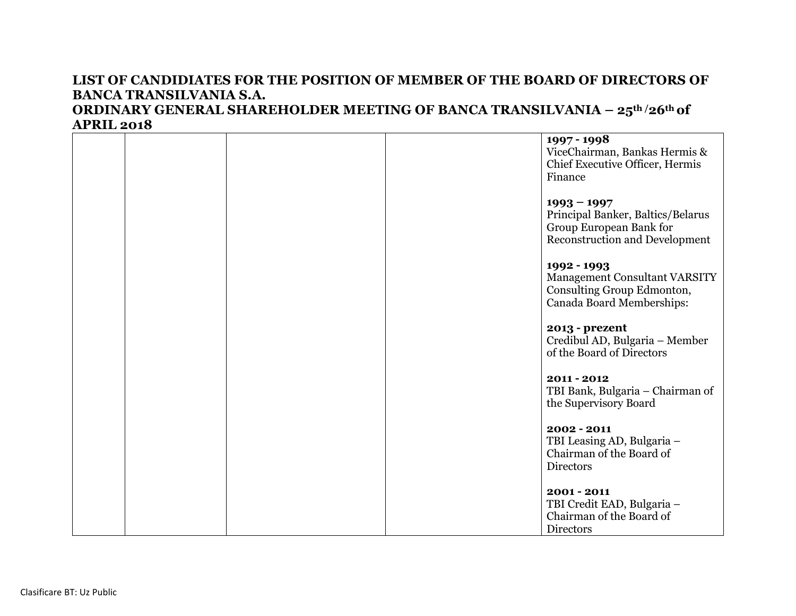## **APRIL 2018 1997 - 1998** ViceChairman, Bankas Hermis & Chief Executive Officer, Hermis Finance **1993 – 1997** Principal Banker, Baltics/Belarus Group European Bank for Reconstruction and Development **1992 - 1993**  Management Consultant VARSITY Consulting Group Edmonton, Canada Board Memberships: **2013 - prezent**  Credibul AD, Bulgaria – Member of the Board of Directors **2011 - 2012**  TBI Bank, Bulgaria – Chairman of the Supervisory Board **2002 - 2011**  TBI Leasing AD, Bulgaria – Chairman of the Board of Directors **2001 - 2011**  TBI Credit EAD, Bulgaria – Chairman of the Board of **Directors**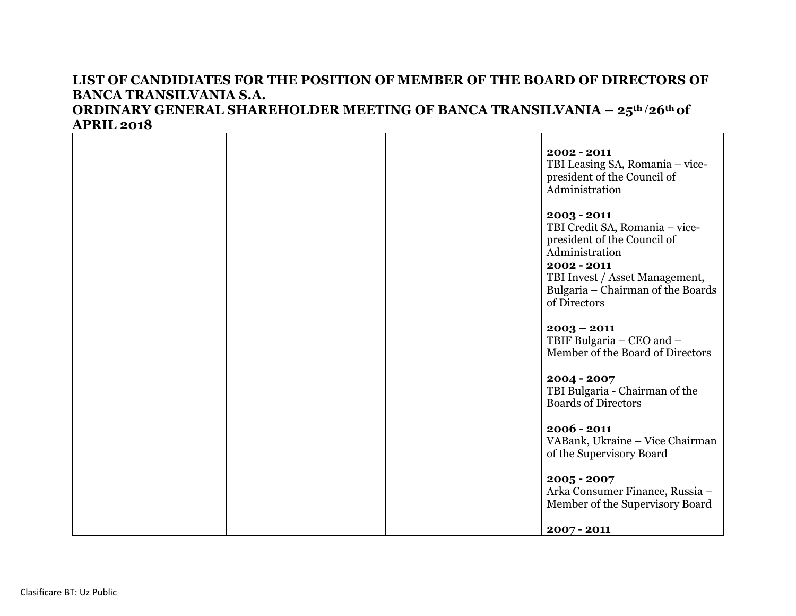# **2002 - 2011**  TBI Leasing SA, Romania – vicepresident of the Council of Administration **2003 - 2011**  TBI Credit SA, Romania – vicepresident of the Council of Administration **2002 - 2011**  TBI Invest / Asset Management, Bulgaria – Chairman of the Boards of Directors **2003 – 2011** TBIF Bulgaria – CEO and – Member of the Board of Directors **2004 - 2007**  TBI Bulgaria - Chairman of the Boards of Directors **2006 - 2011**  VABank, Ukraine – Vice Chairman of the Supervisory Board **2005 - 2007**  Arka Consumer Finance, Russia – Member of the Supervisory Board **2007 - 2011**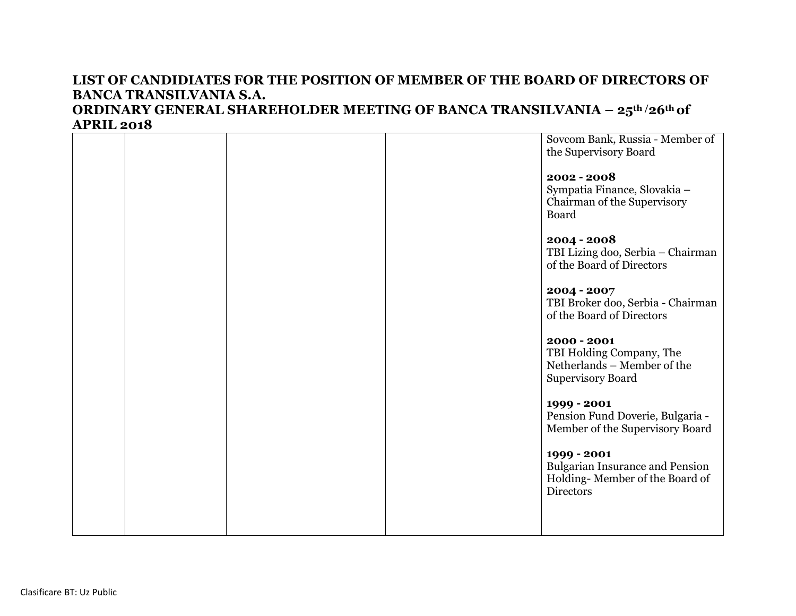# Sovcom Bank, Russia - Member of the Supervisory Board **2002 - 2008**  Sympatia Finance, Slovakia – Chairman of the Supervisory Board **2004 - 2008**  TBI Lizing doo, Serbia – Chairman of the Board of Directors **2004 - 2007**  TBI Broker doo, Serbia - Chairman of the Board of Directors **2000 - 2001**  TBI Holding Company, The Netherlands – Member of the Supervisory Board **1999 - 2001**  Pension Fund Doverie, Bulgaria - Member of the Supervisory Board **1999 - 2001** Bulgarian Insurance and Pension Holding- Member of the Board of **Directors**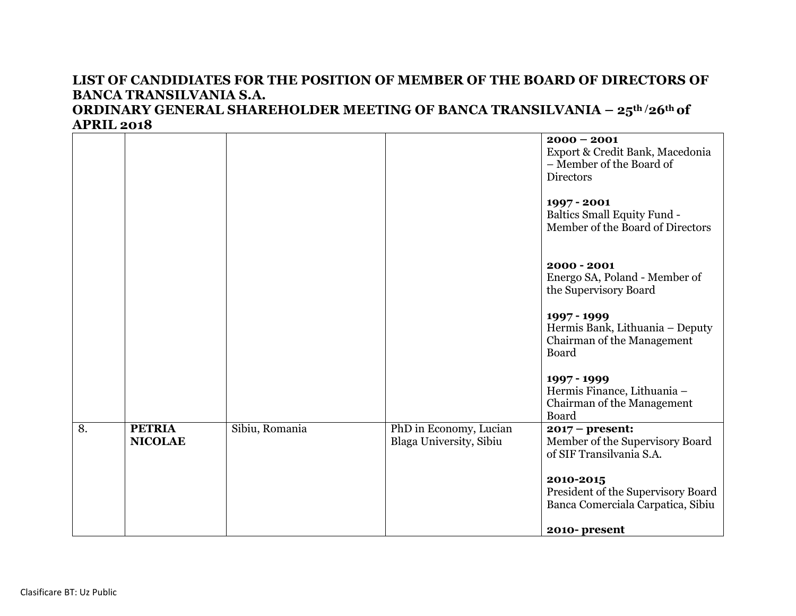|    |                                 |                |                                                   | $2000 - 2001$<br>Export & Credit Bank, Macedonia<br>- Member of the Board of<br><b>Directors</b> |
|----|---------------------------------|----------------|---------------------------------------------------|--------------------------------------------------------------------------------------------------|
|    |                                 |                |                                                   | 1997 - 2001<br><b>Baltics Small Equity Fund -</b><br>Member of the Board of Directors            |
|    |                                 |                |                                                   | 2000 - 2001<br>Energo SA, Poland - Member of<br>the Supervisory Board                            |
|    |                                 |                |                                                   | 1997 - 1999<br>Hermis Bank, Lithuania - Deputy<br>Chairman of the Management<br>Board            |
|    |                                 |                |                                                   | 1997 - 1999<br>Hermis Finance, Lithuania -<br>Chairman of the Management<br>Board                |
| 8. | <b>PETRIA</b><br><b>NICOLAE</b> | Sibiu, Romania | PhD in Economy, Lucian<br>Blaga University, Sibiu | $2017$ – present:<br>Member of the Supervisory Board<br>of SIF Transilvania S.A.                 |
|    |                                 |                |                                                   | 2010-2015<br>President of the Supervisory Board<br>Banca Comerciala Carpatica, Sibiu             |
|    |                                 |                |                                                   | 2010-present                                                                                     |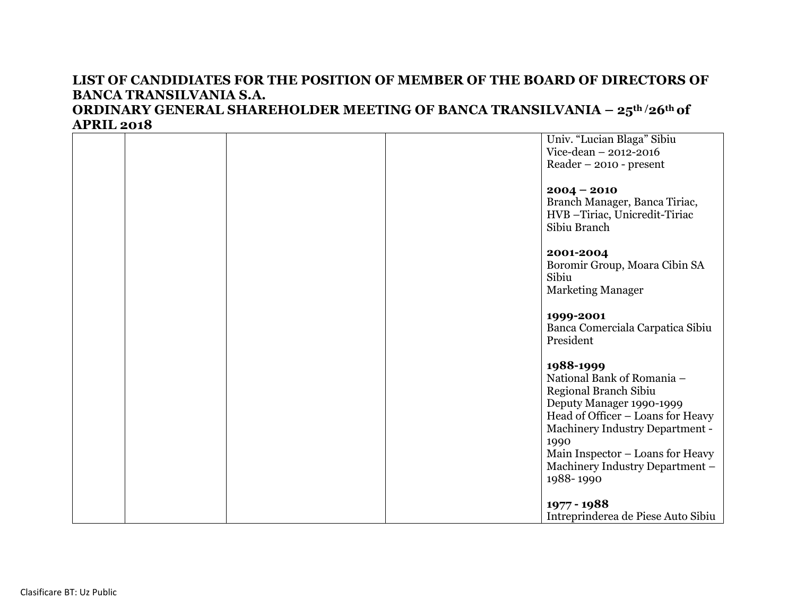|  |  | Univ. "Lucian Blaga" Sibiu<br>Vice-dean - 2012-2016<br>$Reader - 2010 - present$                                                                                                                                 |
|--|--|------------------------------------------------------------------------------------------------------------------------------------------------------------------------------------------------------------------|
|  |  | $2004 - 2010$<br>Branch Manager, Banca Tiriac,<br>HVB-Tiriac, Unicredit-Tiriac<br>Sibiu Branch                                                                                                                   |
|  |  | 2001-2004<br>Boromir Group, Moara Cibin SA<br>Sibiu<br><b>Marketing Manager</b>                                                                                                                                  |
|  |  | 1999-2001<br>Banca Comerciala Carpatica Sibiu<br>President                                                                                                                                                       |
|  |  | 1988-1999<br>National Bank of Romania -<br>Regional Branch Sibiu<br>Deputy Manager 1990-1999<br>Head of Officer - Loans for Heavy<br>Machinery Industry Department -<br>1990<br>Main Inspector - Loans for Heavy |
|  |  | Machinery Industry Department -<br>1988-1990<br>1977 - 1988<br>Intreprinderea de Piese Auto Sibiu                                                                                                                |